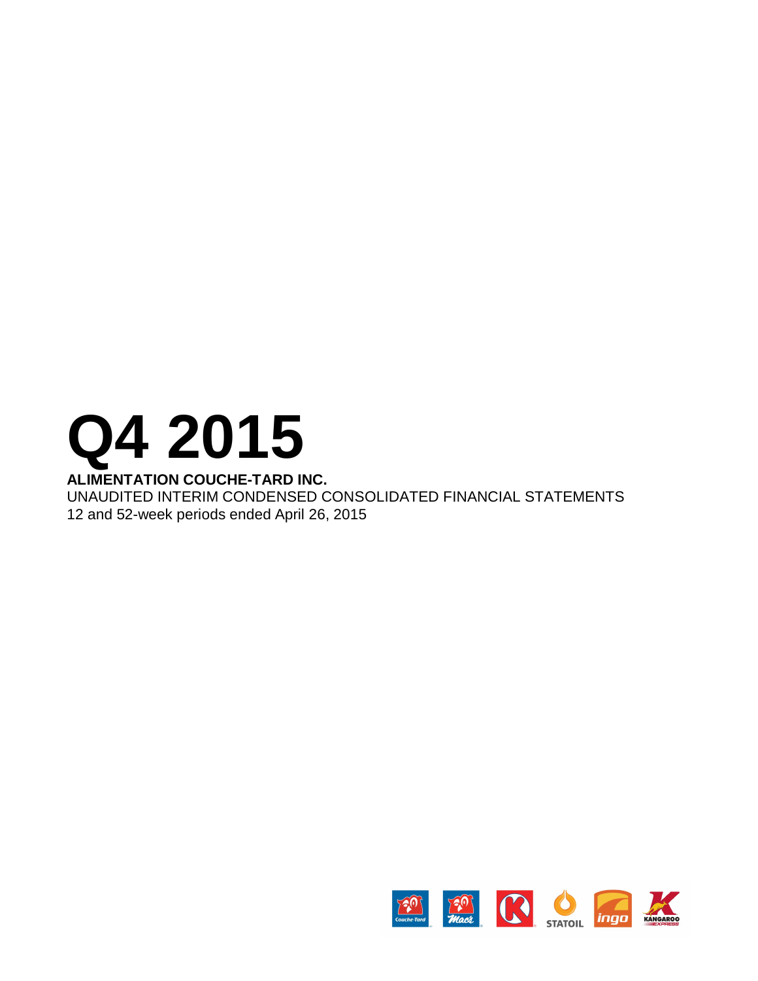# **Q4 2015**

# **ALIMENTATION COUCHE-TARD INC.**

UNAUDITED INTERIM CONDENSED CONSOLIDATED FINANCIAL STATEMENTS 12 and 52-week periods ended April 26, 2015

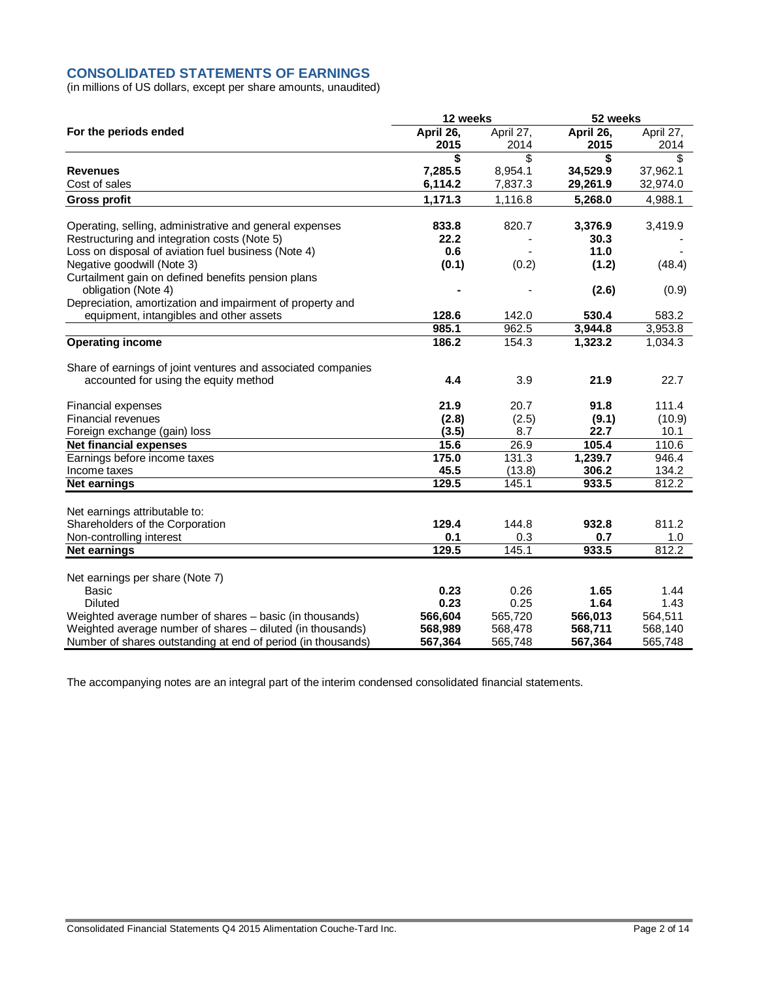# **CONSOLIDATED STATEMENTS OF EARNINGS**

(in millions of US dollars, except per share amounts, unaudited)

|                                                              | 12 weeks  |           | 52 weeks  |           |
|--------------------------------------------------------------|-----------|-----------|-----------|-----------|
| For the periods ended                                        | April 26, | April 27, | April 26, | April 27, |
|                                                              | 2015      | 2014      | 2015      | 2014      |
|                                                              | \$        | \$        | \$        | \$        |
| <b>Revenues</b>                                              | 7,285.5   | 8,954.1   | 34,529.9  | 37,962.1  |
| Cost of sales                                                | 6,114.2   | 7,837.3   | 29,261.9  | 32,974.0  |
| <b>Gross profit</b>                                          | 1,171.3   | 1,116.8   | 5,268.0   | 4,988.1   |
| Operating, selling, administrative and general expenses      | 833.8     | 820.7     | 3,376.9   | 3,419.9   |
| Restructuring and integration costs (Note 5)                 | 22.2      |           | 30.3      |           |
| Loss on disposal of aviation fuel business (Note 4)          | 0.6       |           | 11.0      |           |
| Negative goodwill (Note 3)                                   | (0.1)     | (0.2)     | (1.2)     | (48.4)    |
| Curtailment gain on defined benefits pension plans           |           |           |           |           |
| obligation (Note 4)                                          |           |           | (2.6)     | (0.9)     |
| Depreciation, amortization and impairment of property and    |           |           |           |           |
| equipment, intangibles and other assets                      | 128.6     | 142.0     | 530.4     | 583.2     |
|                                                              | 985.1     | 962.5     | 3,944.8   | 3,953.8   |
| <b>Operating income</b>                                      | 186.2     | 154.3     | 1,323.2   | 1,034.3   |
|                                                              |           |           |           |           |
| Share of earnings of joint ventures and associated companies |           |           |           |           |
| accounted for using the equity method                        | 4.4       | 3.9       | 21.9      | 22.7      |
|                                                              |           |           |           |           |
| Financial expenses                                           | 21.9      | 20.7      | 91.8      | 111.4     |
| Financial revenues                                           | (2.8)     | (2.5)     | (9.1)     | (10.9)    |
| Foreign exchange (gain) loss                                 | (3.5)     | 8.7       | 22.7      | 10.1      |
| <b>Net financial expenses</b>                                | 15.6      | 26.9      | 105.4     | 110.6     |
| Earnings before income taxes                                 | 175.0     | 131.3     | 1,239.7   | 946.4     |
| Income taxes                                                 | 45.5      | (13.8)    | 306.2     | 134.2     |
| <b>Net earnings</b>                                          | 129.5     | 145.1     | 933.5     | 812.2     |
|                                                              |           |           |           |           |
| Net earnings attributable to:                                |           |           |           |           |
| Shareholders of the Corporation                              | 129.4     | 144.8     | 932.8     | 811.2     |
| Non-controlling interest                                     | 0.1       | 0.3       | 0.7       | 1.0       |
| <b>Net earnings</b>                                          | 129.5     | 145.1     | 933.5     | 812.2     |
| Net earnings per share (Note 7)                              |           |           |           |           |
| <b>Basic</b>                                                 | 0.23      | 0.26      | 1.65      | 1.44      |
| <b>Diluted</b>                                               | 0.23      | 0.25      | 1.64      | 1.43      |
| Weighted average number of shares - basic (in thousands)     | 566,604   | 565,720   | 566,013   | 564,511   |
| Weighted average number of shares - diluted (in thousands)   | 568,989   | 568,478   | 568,711   | 568,140   |
| Number of shares outstanding at end of period (in thousands) | 567,364   | 565,748   | 567,364   | 565,748   |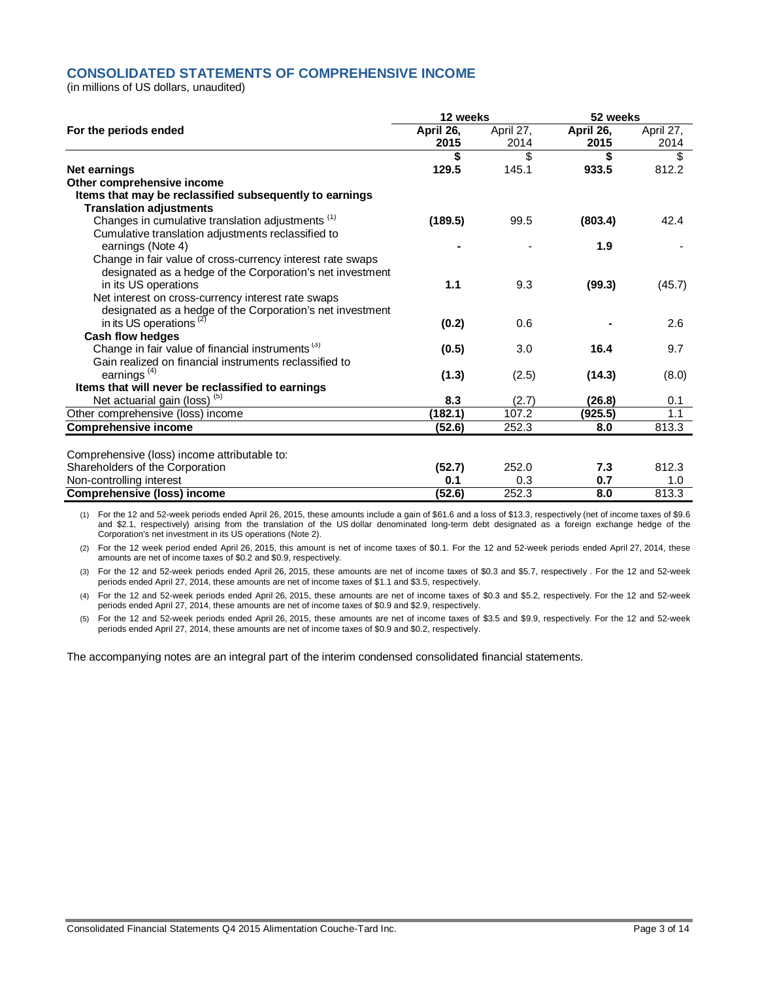# **CONSOLIDATED STATEMENTS OF COMPREHENSIVE INCOME**

(in millions of US dollars, unaudited)

|                                                              |           | 12 weeks  |           | 52 weeks  |  |
|--------------------------------------------------------------|-----------|-----------|-----------|-----------|--|
| For the periods ended                                        | April 26, | April 27, | April 26, | April 27, |  |
|                                                              | 2015      | 2014      | 2015      | 2014      |  |
|                                                              | \$        | \$        | \$        | \$        |  |
| <b>Net earnings</b>                                          | 129.5     | 145.1     | 933.5     | 812.2     |  |
| Other comprehensive income                                   |           |           |           |           |  |
| Items that may be reclassified subsequently to earnings      |           |           |           |           |  |
| <b>Translation adjustments</b>                               |           |           |           |           |  |
| Changes in cumulative translation adjustments <sup>(1)</sup> | (189.5)   | 99.5      | (803.4)   | 42.4      |  |
| Cumulative translation adjustments reclassified to           |           |           |           |           |  |
| earnings (Note 4)                                            |           |           | 1.9       |           |  |
| Change in fair value of cross-currency interest rate swaps   |           |           |           |           |  |
| designated as a hedge of the Corporation's net investment    |           |           |           |           |  |
| in its US operations                                         | 1.1       | 9.3       | (99.3)    | (45.7)    |  |
| Net interest on cross-currency interest rate swaps           |           |           |           |           |  |
| designated as a hedge of the Corporation's net investment    |           |           |           |           |  |
| in its US operations <sup>(2)</sup>                          | (0.2)     | 0.6       |           | 2.6       |  |
| Cash flow hedges                                             |           |           |           |           |  |
| Change in fair value of financial instruments <sup>(3)</sup> | (0.5)     | 3.0       | 16.4      | 9.7       |  |
| Gain realized on financial instruments reclassified to       |           |           |           |           |  |
| earnings <sup>(4)</sup>                                      | (1.3)     | (2.5)     | (14.3)    | (8.0)     |  |
| Items that will never be reclassified to earnings            |           |           |           |           |  |
| Net actuarial gain (loss) <sup>(5)</sup>                     | 8.3       | (2.7)     | (26.8)    | 0.1       |  |
| Other comprehensive (loss) income                            | (182.1)   | 107.2     | (925.5)   | 1.1       |  |
| <b>Comprehensive income</b>                                  | (52.6)    | 252.3     | 8.0       | 813.3     |  |
|                                                              |           |           |           |           |  |
| Comprehensive (loss) income attributable to:                 |           |           |           |           |  |
| Shareholders of the Corporation                              | (52.7)    | 252.0     | 7.3       | 812.3     |  |
| Non-controlling interest                                     | 0.1       | 0.3       | 0.7       | 1.0       |  |
| <b>Comprehensive (loss) income</b>                           | (52.6)    | 252.3     | 8.0       | 813.3     |  |

(1) For the 12 and 52-week periods ended April 26, 2015, these amounts include a gain of \$61.6 and a loss of \$13.3, respectively (net of income taxes of \$9.6 and \$2.1, respectively) arising from the translation of the US dollar denominated long-term debt designated as a foreign exchange hedge of the Corporation's net investment in its US operations (Note 2).

(2) For the 12 week period ended April 26, 2015, this amount is net of income taxes of \$0.1. For the 12 and 52-week periods ended April 27, 2014, these amounts are net of income taxes of \$0.2 and \$0.9, respectively.

(3) For the 12 and 52-week periods ended April 26, 2015, these amounts are net of income taxes of \$0.3 and \$5.7, respectively . For the 12 and 52-week periods ended April 27, 2014, these amounts are net of income taxes of \$1.1 and \$3.5, respectively.

(4) For the 12 and 52-week periods ended April 26, 2015, these amounts are net of income taxes of \$0.3 and \$5.2, respectively. For the 12 and 52-week periods ended April 27, 2014, these amounts are net of income taxes of \$0.9 and \$2.9, respectively.

(5) For the 12 and 52-week periods ended April 26, 2015, these amounts are net of income taxes of \$3.5 and \$9.9, respectively. For the 12 and 52-week periods ended April 27, 2014, these amounts are net of income taxes of \$0.9 and \$0.2, respectively.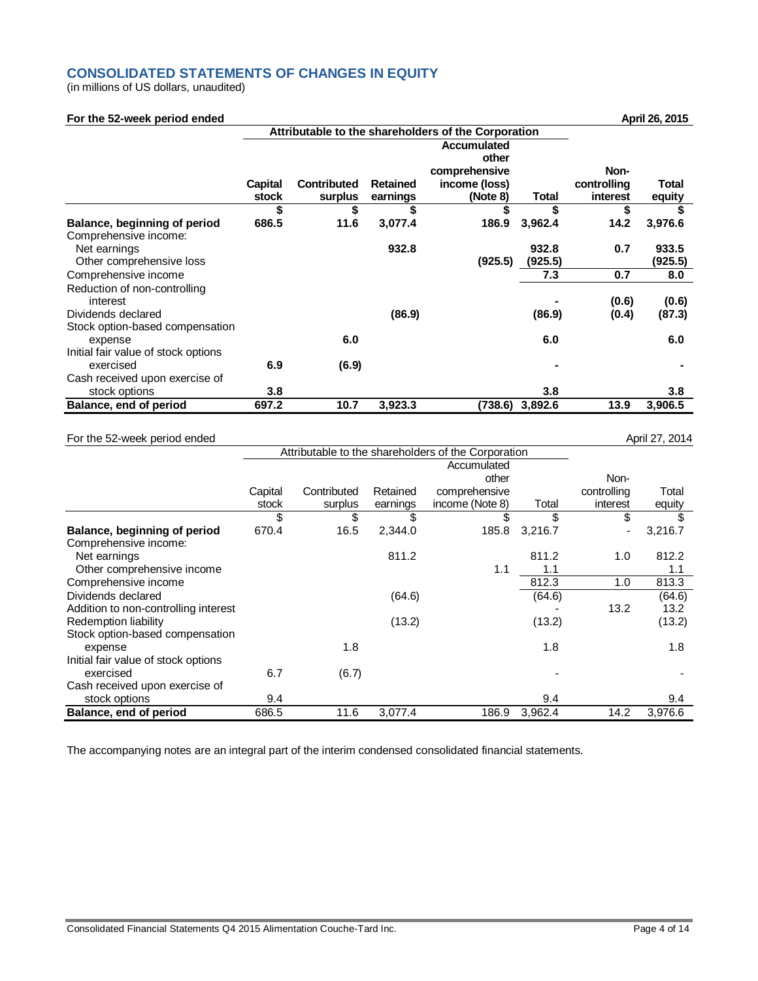# **CONSOLIDATED STATEMENTS OF CHANGES IN EQUITY**

(in millions of US dollars, unaudited)

# **For the 52-week period ended April 26, 2015**

|                                          |                  |                               | Attributable to the shareholders of the Corporation |                                                                           |              |                                 |                 |  |
|------------------------------------------|------------------|-------------------------------|-----------------------------------------------------|---------------------------------------------------------------------------|--------------|---------------------------------|-----------------|--|
|                                          | Capital<br>stock | <b>Contributed</b><br>surplus | <b>Retained</b><br>earnings                         | <b>Accumulated</b><br>other<br>comprehensive<br>income (loss)<br>(Note 8) | <b>Total</b> | Non-<br>controlling<br>interest | Total<br>equity |  |
|                                          | \$               | \$                            | \$                                                  | \$                                                                        | \$           | \$                              |                 |  |
| Balance, beginning of period             | 686.5            | 11.6                          | 3,077.4                                             | 186.9                                                                     | 3,962.4      | 14.2                            | 3,976.6         |  |
| Comprehensive income:                    |                  |                               |                                                     |                                                                           |              |                                 |                 |  |
| Net earnings                             |                  |                               | 932.8                                               |                                                                           | 932.8        | 0.7                             | 933.5           |  |
| Other comprehensive loss                 |                  |                               |                                                     | (925.5)                                                                   | (925.5)      |                                 | (925.5)         |  |
| Comprehensive income                     |                  |                               |                                                     |                                                                           | 7.3          | 0.7                             | 8.0             |  |
| Reduction of non-controlling<br>interest |                  |                               |                                                     |                                                                           |              | (0.6)                           | (0.6)           |  |
| Dividends declared                       |                  |                               | (86.9)                                              |                                                                           | (86.9)       | (0.4)                           | (87.3)          |  |
| Stock option-based compensation          |                  |                               |                                                     |                                                                           |              |                                 |                 |  |
| expense                                  |                  | 6.0                           |                                                     |                                                                           | 6.0          |                                 | 6.0             |  |
| Initial fair value of stock options      |                  |                               |                                                     |                                                                           |              |                                 |                 |  |
| exercised                                | 6.9              | (6.9)                         |                                                     |                                                                           |              |                                 |                 |  |
| Cash received upon exercise of           |                  |                               |                                                     |                                                                           |              |                                 |                 |  |
| stock options                            | 3.8              |                               |                                                     |                                                                           | 3.8          |                                 | 3.8             |  |
| Balance, end of period                   | 697.2            | 10.7                          | 3,923.3                                             | (738.6)                                                                   | 3,892.6      | 13.9                            | 3,906.5         |  |

## For the 52-week period ended April 27, 2014

|                                      | Attributable to the shareholders of the Corporation |             |          |                 |         |             |         |
|--------------------------------------|-----------------------------------------------------|-------------|----------|-----------------|---------|-------------|---------|
|                                      |                                                     |             |          | Accumulated     |         |             |         |
|                                      |                                                     |             |          | other           |         | Non-        |         |
|                                      | Capital                                             | Contributed | Retained | comprehensive   |         | controlling | Total   |
|                                      | stock                                               | surplus     | earnings | income (Note 8) | Total   | interest    | equity  |
|                                      | \$                                                  | \$          | \$       | \$              | \$      | \$          | \$      |
| Balance, beginning of period         | 670.4                                               | 16.5        | 2,344.0  | 185.8           | 3,216.7 |             | 3,216.7 |
| Comprehensive income:                |                                                     |             |          |                 |         |             |         |
| Net earnings                         |                                                     |             | 811.2    |                 | 811.2   | 1.0         | 812.2   |
| Other comprehensive income           |                                                     |             |          | 1.1             | 1.1     |             | 1.1     |
| Comprehensive income                 |                                                     |             |          |                 | 812.3   | 1.0         | 813.3   |
| Dividends declared                   |                                                     |             | (64.6)   |                 | (64.6)  |             | (64.6)  |
| Addition to non-controlling interest |                                                     |             |          |                 |         | 13.2        | 13.2    |
| Redemption liability                 |                                                     |             | (13.2)   |                 | (13.2)  |             | (13.2)  |
| Stock option-based compensation      |                                                     |             |          |                 |         |             |         |
| expense                              |                                                     | 1.8         |          |                 | 1.8     |             | 1.8     |
| Initial fair value of stock options  |                                                     |             |          |                 |         |             |         |
| exercised                            | 6.7                                                 | (6.7)       |          |                 |         |             |         |
| Cash received upon exercise of       |                                                     |             |          |                 |         |             |         |
| stock options                        | 9.4                                                 |             |          |                 | 9.4     |             | 9.4     |
| Balance, end of period               | 686.5                                               | 11.6        | 3,077.4  | 186.9           | 3,962.4 | 14.2        | 3,976.6 |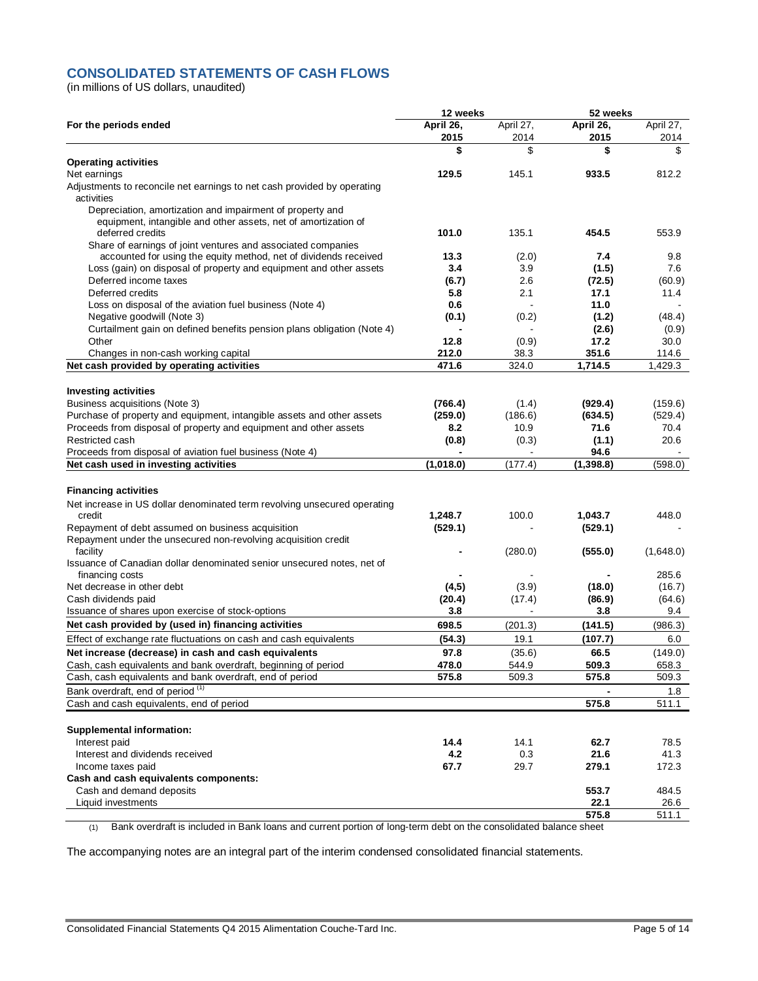# **CONSOLIDATED STATEMENTS OF CASH FLOWS**

(in millions of US dollars, unaudited)

|                                                                          | 12 weeks  |                | 52 weeks   |           |
|--------------------------------------------------------------------------|-----------|----------------|------------|-----------|
| For the periods ended                                                    | April 26, | April 27,      | April 26,  | April 27, |
|                                                                          | 2015      | 2014           | 2015       | 2014      |
|                                                                          | \$        | \$             | \$         | \$        |
| <b>Operating activities</b>                                              |           |                |            |           |
| Net earnings                                                             | 129.5     | 145.1          | 933.5      | 812.2     |
| Adjustments to reconcile net earnings to net cash provided by operating  |           |                |            |           |
| activities                                                               |           |                |            |           |
| Depreciation, amortization and impairment of property and                |           |                |            |           |
| equipment, intangible and other assets, net of amortization of           |           |                |            |           |
| deferred credits                                                         | 101.0     | 135.1          | 454.5      | 553.9     |
| Share of earnings of joint ventures and associated companies             |           |                |            |           |
| accounted for using the equity method, net of dividends received         | 13.3      | (2.0)          | 7.4        | 9.8       |
| Loss (gain) on disposal of property and equipment and other assets       | 3.4       | 3.9            | (1.5)      | 7.6       |
| Deferred income taxes                                                    | (6.7)     | 2.6            | (72.5)     | (60.9)    |
| Deferred credits                                                         | 5.8       | 2.1            | 17.1       | 11.4      |
| Loss on disposal of the aviation fuel business (Note 4)                  | 0.6       | $\blacksquare$ | 11.0       |           |
| Negative goodwill (Note 3)                                               | (0.1)     | (0.2)          | (1.2)      | (48.4)    |
| Curtailment gain on defined benefits pension plans obligation (Note 4)   |           |                | (2.6)      | (0.9)     |
| Other                                                                    | 12.8      | (0.9)          | 17.2       | 30.0      |
| Changes in non-cash working capital                                      | 212.0     | 38.3           | 351.6      | 114.6     |
| Net cash provided by operating activities                                | 471.6     | 324.0          | 1,714.5    | 1,429.3   |
|                                                                          |           |                |            |           |
| <b>Investing activities</b>                                              |           |                |            |           |
| Business acquisitions (Note 3)                                           | (766.4)   | (1.4)          | (929.4)    | (159.6)   |
| Purchase of property and equipment, intangible assets and other assets   | (259.0)   | (186.6)        | (634.5)    | (529.4)   |
| Proceeds from disposal of property and equipment and other assets        | 8.2       | 10.9           | 71.6       | 70.4      |
| Restricted cash                                                          | (0.8)     | (0.3)          | (1.1)      | 20.6      |
| Proceeds from disposal of aviation fuel business (Note 4)                |           |                | 94.6       |           |
| Net cash used in investing activities                                    | (1,018.0) | (177.4)        | (1, 398.8) | (598.0)   |
|                                                                          |           |                |            |           |
|                                                                          |           |                |            |           |
| <b>Financing activities</b>                                              |           |                |            |           |
| Net increase in US dollar denominated term revolving unsecured operating |           |                |            |           |
| credit                                                                   | 1,248.7   | 100.0          | 1,043.7    | 448.0     |
| Repayment of debt assumed on business acquisition                        | (529.1)   |                | (529.1)    |           |
| Repayment under the unsecured non-revolving acquisition credit           |           |                |            |           |
| facility                                                                 |           | (280.0)        | (555.0)    | (1,648.0) |
| Issuance of Canadian dollar denominated senior unsecured notes, net of   |           |                |            |           |
| financing costs                                                          |           |                |            | 285.6     |
| Net decrease in other debt                                               | (4, 5)    | (3.9)          | (18.0)     | (16.7)    |
| Cash dividends paid                                                      | (20.4)    | (17.4)         | (86.9)     | (64.6)    |
| Issuance of shares upon exercise of stock-options                        | 3.8       |                | 3.8        | 9.4       |
| Net cash provided by (used in) financing activities                      | 698.5     | (201.3)        | (141.5)    | (986.3)   |
| Effect of exchange rate fluctuations on cash and cash equivalents        | (54.3)    | 19.1           | (107.7)    | 6.0       |
| Net increase (decrease) in cash and cash equivalents                     | 97.8      | (35.6)         | 66.5       | (149.0)   |
| Cash, cash equivalents and bank overdraft, beginning of period           | 478.0     | 544.9          | 509.3      | 658.3     |
| Cash, cash equivalents and bank overdraft, end of period                 | 575.8     | 509.3          | 575.8      | 509.3     |
| Bank overdraft, end of period <sup>(1)</sup>                             |           |                |            | 1.8       |
| Cash and cash equivalents, end of period                                 |           |                | 575.8      | 511.1     |
|                                                                          |           |                |            |           |
|                                                                          |           |                |            |           |
| <b>Supplemental information:</b>                                         |           |                |            |           |
| Interest paid                                                            | 14.4      | 14.1           | 62.7       | 78.5      |
| Interest and dividends received                                          | 4.2       | 0.3            | 21.6       | 41.3      |
| Income taxes paid                                                        | 67.7      | 29.7           | 279.1      | 172.3     |
| Cash and cash equivalents components:                                    |           |                |            |           |
| Cash and demand deposits                                                 |           |                | 553.7      | 484.5     |
| Liquid investments                                                       |           |                | 22.1       | 26.6      |
|                                                                          |           |                | 575.8      | 511.1     |

(1) Bank overdraft is included in Bank loans and current portion of long-term debt on the consolidated balance sheet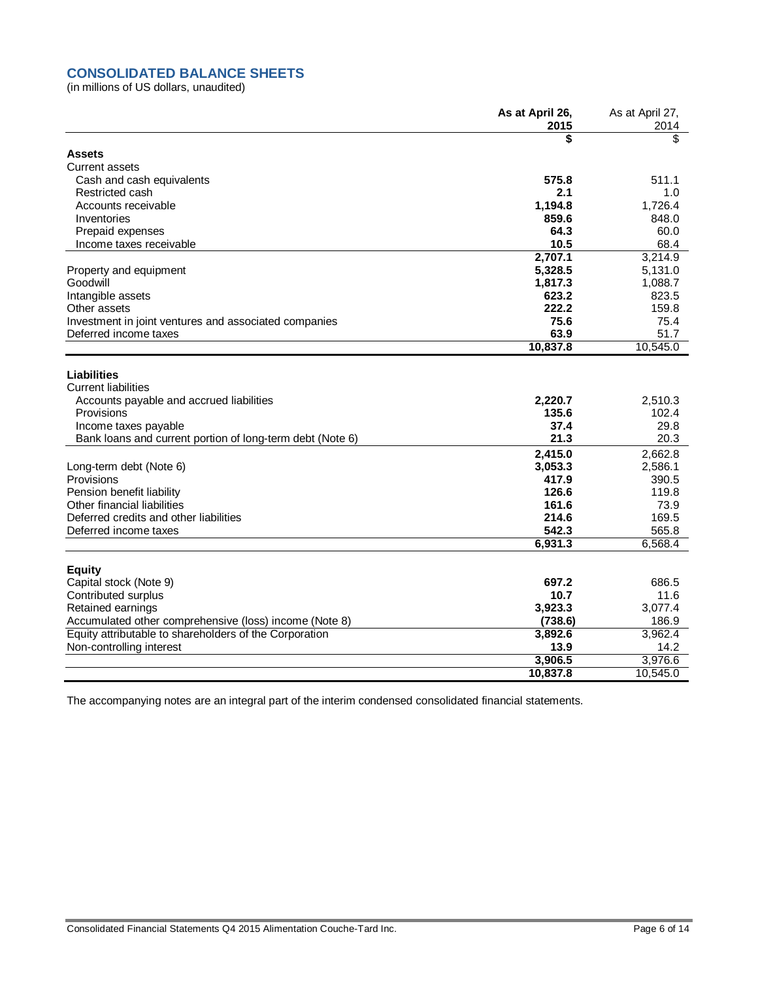# **CONSOLIDATED BALANCE SHEETS**

(in millions of US dollars, unaudited)

|                                                           | As at April 26,<br>2015 | As at April 27,<br>2014 |
|-----------------------------------------------------------|-------------------------|-------------------------|
|                                                           | \$                      | \$                      |
| <b>Assets</b>                                             |                         |                         |
| <b>Current assets</b>                                     |                         |                         |
| Cash and cash equivalents                                 | 575.8                   | 511.1                   |
| Restricted cash                                           | 2.1                     | 1.0                     |
| Accounts receivable                                       | 1,194.8                 | 1.726.4                 |
| Inventories                                               | 859.6                   | 848.0                   |
| Prepaid expenses                                          | 64.3                    | 60.0                    |
| Income taxes receivable                                   | 10.5                    | 68.4                    |
|                                                           | 2,707.1                 | 3,214.9                 |
| Property and equipment                                    | 5,328.5                 | 5,131.0                 |
| Goodwill                                                  | 1,817.3                 | 1,088.7                 |
| Intangible assets                                         | 623.2                   | 823.5                   |
| Other assets                                              | 222.2                   | 159.8                   |
| Investment in joint ventures and associated companies     | 75.6                    | 75.4                    |
| Deferred income taxes                                     | 63.9                    | 51.7                    |
|                                                           | 10,837.8                | 10,545.0                |
| Liabilities                                               |                         |                         |
| <b>Current liabilities</b>                                |                         |                         |
| Accounts payable and accrued liabilities                  | 2,220.7                 | 2,510.3                 |
| Provisions                                                | 135.6                   | 102.4                   |
| Income taxes payable                                      | 37.4                    | 29.8                    |
| Bank loans and current portion of long-term debt (Note 6) | 21.3                    | 20.3                    |
|                                                           |                         |                         |
|                                                           | 2,415.0                 | 2,662.8                 |
| Long-term debt (Note 6)<br>Provisions                     | 3,053.3                 | 2,586.1                 |
| Pension benefit liability                                 | 417.9<br>126.6          | 390.5<br>119.8          |
| Other financial liabilities                               | 161.6                   | 73.9                    |
| Deferred credits and other liabilities                    | 214.6                   | 169.5                   |
| Deferred income taxes                                     | 542.3                   | 565.8                   |
|                                                           | 6,931.3                 | 6,568.4                 |
|                                                           |                         |                         |
| <b>Equity</b>                                             |                         |                         |
| Capital stock (Note 9)                                    | 697.2                   | 686.5                   |
| Contributed surplus                                       | 10.7                    | 11.6                    |
| Retained earnings                                         | 3,923.3                 | 3,077.4                 |
| Accumulated other comprehensive (loss) income (Note 8)    | (738.6)                 | 186.9                   |
| Equity attributable to shareholders of the Corporation    | 3,892.6                 | 3,962.4                 |
| Non-controlling interest                                  | 13.9                    | 14.2                    |
|                                                           | 3,906.5                 | 3,976.6                 |
|                                                           | 10,837.8                | 10.545.0                |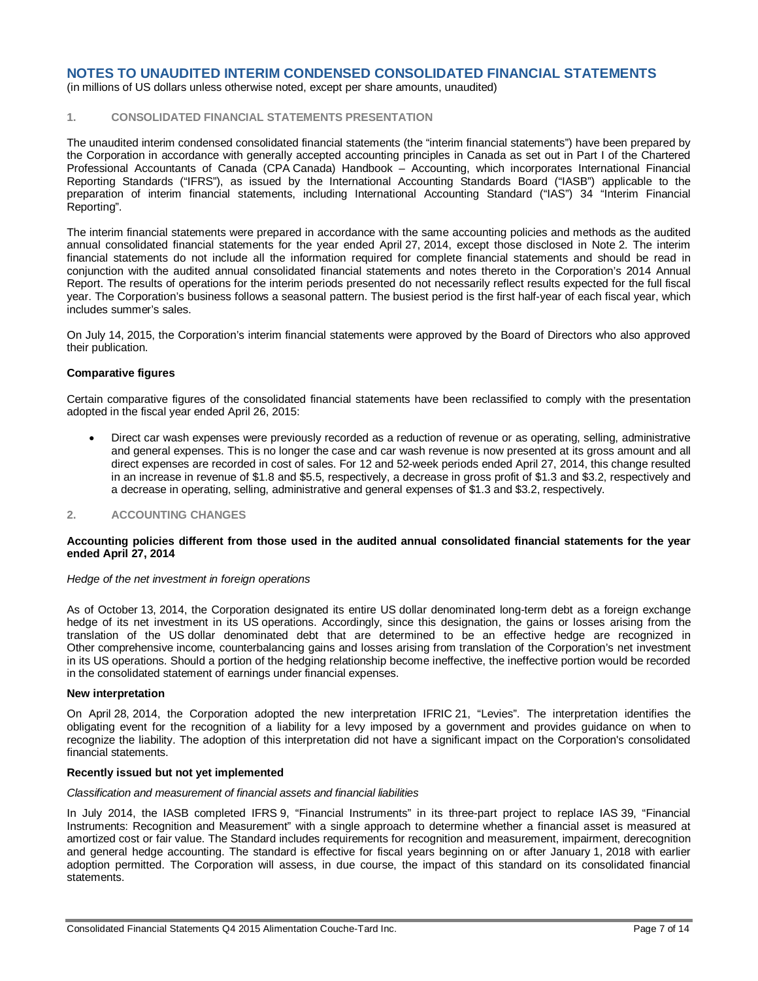(in millions of US dollars unless otherwise noted, except per share amounts, unaudited)

# **1. CONSOLIDATED FINANCIAL STATEMENTS PRESENTATION**

The unaudited interim condensed consolidated financial statements (the "interim financial statements") have been prepared by the Corporation in accordance with generally accepted accounting principles in Canada as set out in Part I of the Chartered Professional Accountants of Canada (CPA Canada) Handbook – Accounting, which incorporates International Financial Reporting Standards ("IFRS"), as issued by the International Accounting Standards Board ("IASB") applicable to the preparation of interim financial statements, including International Accounting Standard ("IAS") 34 "Interim Financial Reporting".

The interim financial statements were prepared in accordance with the same accounting policies and methods as the audited annual consolidated financial statements for the year ended April 27, 2014, except those disclosed in Note 2. The interim financial statements do not include all the information required for complete financial statements and should be read in conjunction with the audited annual consolidated financial statements and notes thereto in the Corporation's 2014 Annual Report. The results of operations for the interim periods presented do not necessarily reflect results expected for the full fiscal year. The Corporation's business follows a seasonal pattern. The busiest period is the first half-year of each fiscal year, which includes summer's sales.

On July 14, 2015, the Corporation's interim financial statements were approved by the Board of Directors who also approved their publication.

#### **Comparative figures**

Certain comparative figures of the consolidated financial statements have been reclassified to comply with the presentation adopted in the fiscal year ended April 26, 2015:

 Direct car wash expenses were previously recorded as a reduction of revenue or as operating, selling, administrative and general expenses. This is no longer the case and car wash revenue is now presented at its gross amount and all direct expenses are recorded in cost of sales. For 12 and 52-week periods ended April 27, 2014, this change resulted in an increase in revenue of \$1.8 and \$5.5, respectively, a decrease in gross profit of \$1.3 and \$3.2, respectively and a decrease in operating, selling, administrative and general expenses of \$1.3 and \$3.2, respectively.

#### **2. ACCOUNTING CHANGES**

#### **Accounting policies different from those used in the audited annual consolidated financial statements for the year ended April 27, 2014**

#### *Hedge of the net investment in foreign operations*

As of October 13, 2014, the Corporation designated its entire US dollar denominated long-term debt as a foreign exchange hedge of its net investment in its US operations. Accordingly, since this designation, the gains or losses arising from the translation of the US dollar denominated debt that are determined to be an effective hedge are recognized in Other comprehensive income, counterbalancing gains and losses arising from translation of the Corporation's net investment in its US operations. Should a portion of the hedging relationship become ineffective, the ineffective portion would be recorded in the consolidated statement of earnings under financial expenses.

#### **New interpretation**

On April 28, 2014, the Corporation adopted the new interpretation IFRIC 21, "Levies". The interpretation identifies the obligating event for the recognition of a liability for a levy imposed by a government and provides guidance on when to recognize the liability. The adoption of this interpretation did not have a significant impact on the Corporation's consolidated financial statements.

#### **Recently issued but not yet implemented**

#### *Classification and measurement of financial assets and financial liabilities*

In July 2014, the IASB completed IFRS 9, "Financial Instruments" in its three-part project to replace IAS 39, "Financial Instruments: Recognition and Measurement" with a single approach to determine whether a financial asset is measured at amortized cost or fair value. The Standard includes requirements for recognition and measurement, impairment, derecognition and general hedge accounting. The standard is effective for fiscal years beginning on or after January 1, 2018 with earlier adoption permitted. The Corporation will assess, in due course, the impact of this standard on its consolidated financial statements.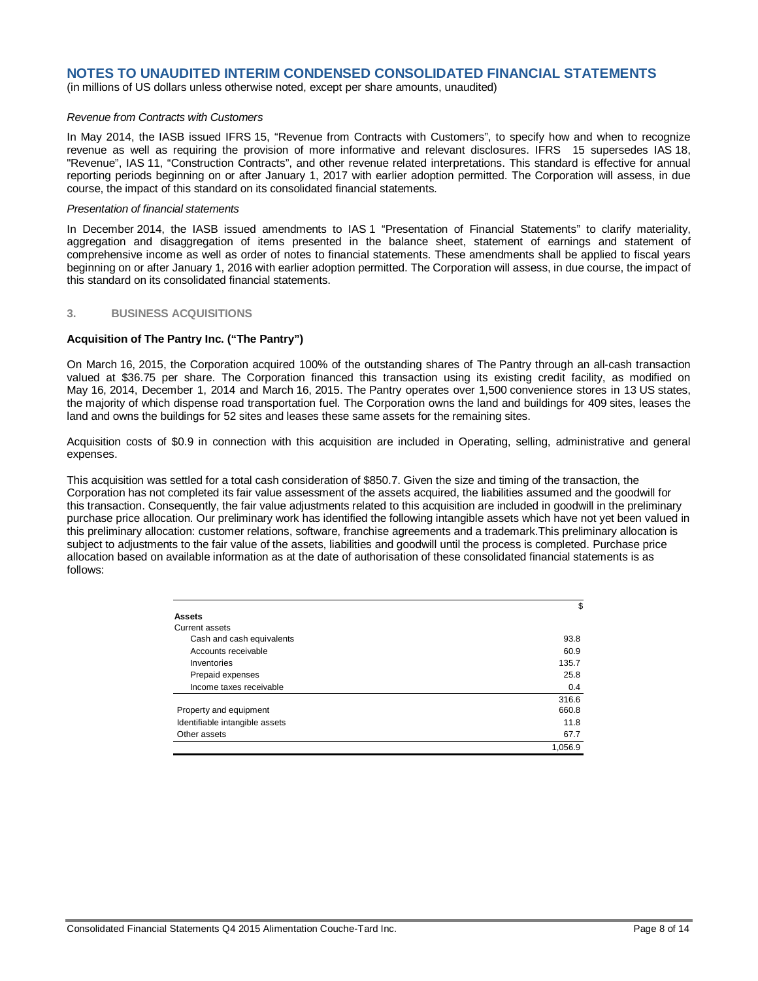(in millions of US dollars unless otherwise noted, except per share amounts, unaudited)

#### *Revenue from Contracts with Customers*

In May 2014, the IASB issued IFRS 15, "Revenue from Contracts with Customers", to specify how and when to recognize revenue as well as requiring the provision of more informative and relevant disclosures. IFRS 15 supersedes IAS 18, "Revenue", IAS 11, "Construction Contracts", and other revenue related interpretations. This standard is effective for annual reporting periods beginning on or after January 1, 2017 with earlier adoption permitted. The Corporation will assess, in due course, the impact of this standard on its consolidated financial statements.

#### *Presentation of financial statements*

In December 2014, the IASB issued amendments to IAS 1 "Presentation of Financial Statements" to clarify materiality, aggregation and disaggregation of items presented in the balance sheet, statement of earnings and statement of comprehensive income as well as order of notes to financial statements. These amendments shall be applied to fiscal years beginning on or after January 1, 2016 with earlier adoption permitted. The Corporation will assess, in due course, the impact of this standard on its consolidated financial statements.

#### **3. BUSINESS ACQUISITIONS**

#### **Acquisition of The Pantry Inc. ("The Pantry")**

On March 16, 2015, the Corporation acquired 100% of the outstanding shares of The Pantry through an all-cash transaction valued at \$36.75 per share. The Corporation financed this transaction using its existing credit facility, as modified on May 16, 2014, December 1, 2014 and March 16, 2015. The Pantry operates over 1,500 convenience stores in 13 US states, the majority of which dispense road transportation fuel. The Corporation owns the land and buildings for 409 sites, leases the land and owns the buildings for 52 sites and leases these same assets for the remaining sites.

Acquisition costs of \$0.9 in connection with this acquisition are included in Operating, selling, administrative and general expenses.

This acquisition was settled for a total cash consideration of \$850.7. Given the size and timing of the transaction, the Corporation has not completed its fair value assessment of the assets acquired, the liabilities assumed and the goodwill for this transaction. Consequently, the fair value adjustments related to this acquisition are included in goodwill in the preliminary purchase price allocation. Our preliminary work has identified the following intangible assets which have not yet been valued in this preliminary allocation: customer relations, software, franchise agreements and a trademark.This preliminary allocation is subject to adjustments to the fair value of the assets, liabilities and goodwill until the process is completed. Purchase price allocation based on available information as at the date of authorisation of these consolidated financial statements is as follows:

|                                | \$      |
|--------------------------------|---------|
| <b>Assets</b>                  |         |
| Current assets                 |         |
| Cash and cash equivalents      | 93.8    |
| Accounts receivable            | 60.9    |
| Inventories                    | 135.7   |
| Prepaid expenses               | 25.8    |
| Income taxes receivable        | 0.4     |
|                                | 316.6   |
| Property and equipment         | 660.8   |
| Identifiable intangible assets | 11.8    |
| Other assets                   | 67.7    |
|                                | 1,056.9 |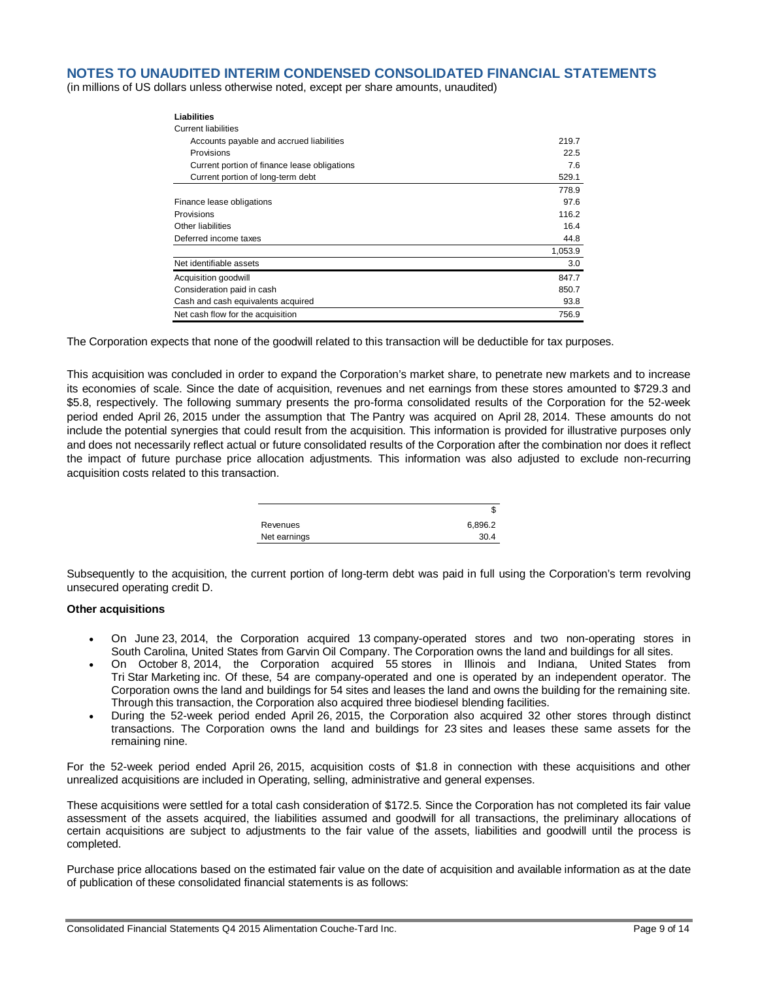(in millions of US dollars unless otherwise noted, except per share amounts, unaudited)

| <b>Liabilities</b>                           |         |
|----------------------------------------------|---------|
| <b>Current liabilities</b>                   |         |
| Accounts payable and accrued liabilities     | 219.7   |
| Provisions                                   | 22.5    |
| Current portion of finance lease obligations | 7.6     |
| Current portion of long-term debt            | 529.1   |
|                                              | 778.9   |
| Finance lease obligations                    | 97.6    |
| Provisions                                   | 116.2   |
| Other liabilities                            | 16.4    |
| Deferred income taxes                        | 44.8    |
|                                              | 1,053.9 |
| Net identifiable assets                      | 3.0     |
| Acquisition goodwill                         | 847.7   |
| Consideration paid in cash                   | 850.7   |
| Cash and cash equivalents acquired           | 93.8    |
| Net cash flow for the acquisition            | 756.9   |

The Corporation expects that none of the goodwill related to this transaction will be deductible for tax purposes.

This acquisition was concluded in order to expand the Corporation's market share, to penetrate new markets and to increase its economies of scale. Since the date of acquisition, revenues and net earnings from these stores amounted to \$729.3 and \$5.8, respectively. The following summary presents the pro-forma consolidated results of the Corporation for the 52-week period ended April 26, 2015 under the assumption that The Pantry was acquired on April 28, 2014. These amounts do not include the potential synergies that could result from the acquisition. This information is provided for illustrative purposes only and does not necessarily reflect actual or future consolidated results of the Corporation after the combination nor does it reflect the impact of future purchase price allocation adjustments. This information was also adjusted to exclude non-recurring acquisition costs related to this transaction.

|              | Œ       |
|--------------|---------|
| Revenues     | 6,896.2 |
| Net earnings | 30.4    |

Subsequently to the acquisition, the current portion of long-term debt was paid in full using the Corporation's term revolving unsecured operating credit D.

#### **Other acquisitions**

- On June 23, 2014, the Corporation acquired 13 company-operated stores and two non-operating stores in South Carolina, United States from Garvin Oil Company. The Corporation owns the land and buildings for all sites.
- On October 8, 2014, the Corporation acquired 55 stores in Illinois and Indiana, United States from Tri Star Marketing inc. Of these, 54 are company-operated and one is operated by an independent operator. The Corporation owns the land and buildings for 54 sites and leases the land and owns the building for the remaining site. Through this transaction, the Corporation also acquired three biodiesel blending facilities.
- During the 52-week period ended April 26, 2015, the Corporation also acquired 32 other stores through distinct transactions. The Corporation owns the land and buildings for 23 sites and leases these same assets for the remaining nine.

For the 52-week period ended April 26, 2015, acquisition costs of \$1.8 in connection with these acquisitions and other unrealized acquisitions are included in Operating, selling, administrative and general expenses.

These acquisitions were settled for a total cash consideration of \$172.5. Since the Corporation has not completed its fair value assessment of the assets acquired, the liabilities assumed and goodwill for all transactions, the preliminary allocations of certain acquisitions are subject to adjustments to the fair value of the assets, liabilities and goodwill until the process is completed.

Purchase price allocations based on the estimated fair value on the date of acquisition and available information as at the date of publication of these consolidated financial statements is as follows: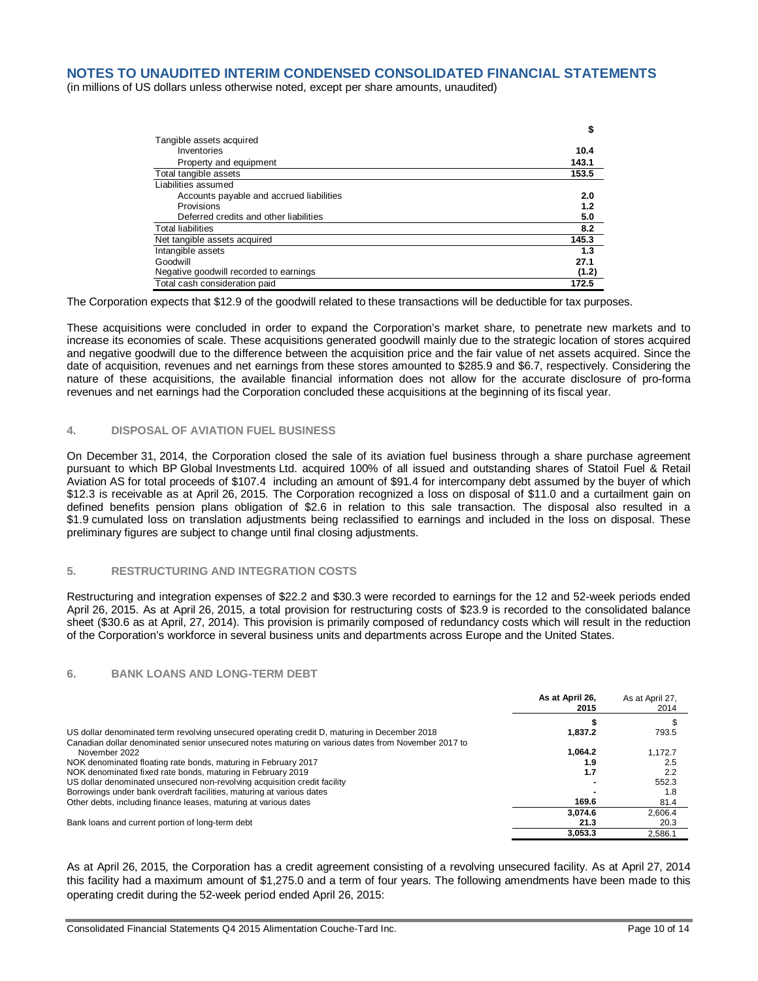(in millions of US dollars unless otherwise noted, except per share amounts, unaudited)

|                                          | \$    |
|------------------------------------------|-------|
| Tangible assets acquired                 |       |
| Inventories                              | 10.4  |
| Property and equipment                   | 143.1 |
| Total tangible assets                    | 153.5 |
| Liabilities assumed                      |       |
| Accounts payable and accrued liabilities | 2.0   |
| Provisions                               | 1.2   |
| Deferred credits and other liabilities   | 5.0   |
| <b>Total liabilities</b>                 | 8.2   |
| Net tangible assets acquired             | 145.3 |
| Intangible assets                        | 1.3   |
| Goodwill                                 | 27.1  |
| Negative goodwill recorded to earnings   | (1.2) |
| Total cash consideration paid            | 172.5 |

The Corporation expects that \$12.9 of the goodwill related to these transactions will be deductible for tax purposes.

These acquisitions were concluded in order to expand the Corporation's market share, to penetrate new markets and to increase its economies of scale. These acquisitions generated goodwill mainly due to the strategic location of stores acquired and negative goodwill due to the difference between the acquisition price and the fair value of net assets acquired. Since the date of acquisition, revenues and net earnings from these stores amounted to \$285.9 and \$6.7, respectively. Considering the nature of these acquisitions, the available financial information does not allow for the accurate disclosure of pro-forma revenues and net earnings had the Corporation concluded these acquisitions at the beginning of its fiscal year.

#### **4. DISPOSAL OF AVIATION FUEL BUSINESS**

On December 31, 2014, the Corporation closed the sale of its aviation fuel business through a share purchase agreement pursuant to which BP Global Investments Ltd. acquired 100% of all issued and outstanding shares of Statoil Fuel & Retail Aviation AS for total proceeds of \$107.4 including an amount of \$91.4 for intercompany debt assumed by the buyer of which \$12.3 is receivable as at April 26, 2015. The Corporation recognized a loss on disposal of \$11.0 and a curtailment gain on defined benefits pension plans obligation of \$2.6 in relation to this sale transaction. The disposal also resulted in a \$1.9 cumulated loss on translation adjustments being reclassified to earnings and included in the loss on disposal. These preliminary figures are subject to change until final closing adjustments.

# **5. RESTRUCTURING AND INTEGRATION COSTS**

Restructuring and integration expenses of \$22.2 and \$30.3 were recorded to earnings for the 12 and 52-week periods ended April 26, 2015. As at April 26, 2015, a total provision for restructuring costs of \$23.9 is recorded to the consolidated balance sheet (\$30.6 as at April, 27, 2014). This provision is primarily composed of redundancy costs which will result in the reduction of the Corporation's workforce in several business units and departments across Europe and the United States.

#### **6. BANK LOANS AND LONG-TERM DEBT**

|                                                                                                                                                                                                    | As at April 26,<br>2015 | As at April 27,<br>2014 |
|----------------------------------------------------------------------------------------------------------------------------------------------------------------------------------------------------|-------------------------|-------------------------|
|                                                                                                                                                                                                    |                         |                         |
| US dollar denominated term revolving unsecured operating credit D, maturing in December 2018<br>Canadian dollar denominated senior unsecured notes maturing on various dates from November 2017 to | 1.837.2                 | 793.5                   |
| November 2022                                                                                                                                                                                      | 1.064.2                 | 1.172.7                 |
| NOK denominated floating rate bonds, maturing in February 2017                                                                                                                                     | 1.9                     | 2.5                     |
| NOK denominated fixed rate bonds, maturing in February 2019                                                                                                                                        | 1.7                     | 2.2                     |
| US dollar denominated unsecured non-revolving acquisition credit facility                                                                                                                          |                         | 552.3                   |
| Borrowings under bank overdraft facilities, maturing at various dates                                                                                                                              |                         | 1.8                     |
| Other debts, including finance leases, maturing at various dates                                                                                                                                   | 169.6                   | 81.4                    |
|                                                                                                                                                                                                    | 3,074.6                 | 2,606.4                 |
| Bank loans and current portion of long-term debt                                                                                                                                                   | 21.3                    | 20.3                    |
|                                                                                                                                                                                                    | 3.053.3                 | 2.586.1                 |

As at April 26, 2015, the Corporation has a credit agreement consisting of a revolving unsecured facility. As at April 27, 2014 this facility had a maximum amount of \$1,275.0 and a term of four years. The following amendments have been made to this operating credit during the 52-week period ended April 26, 2015: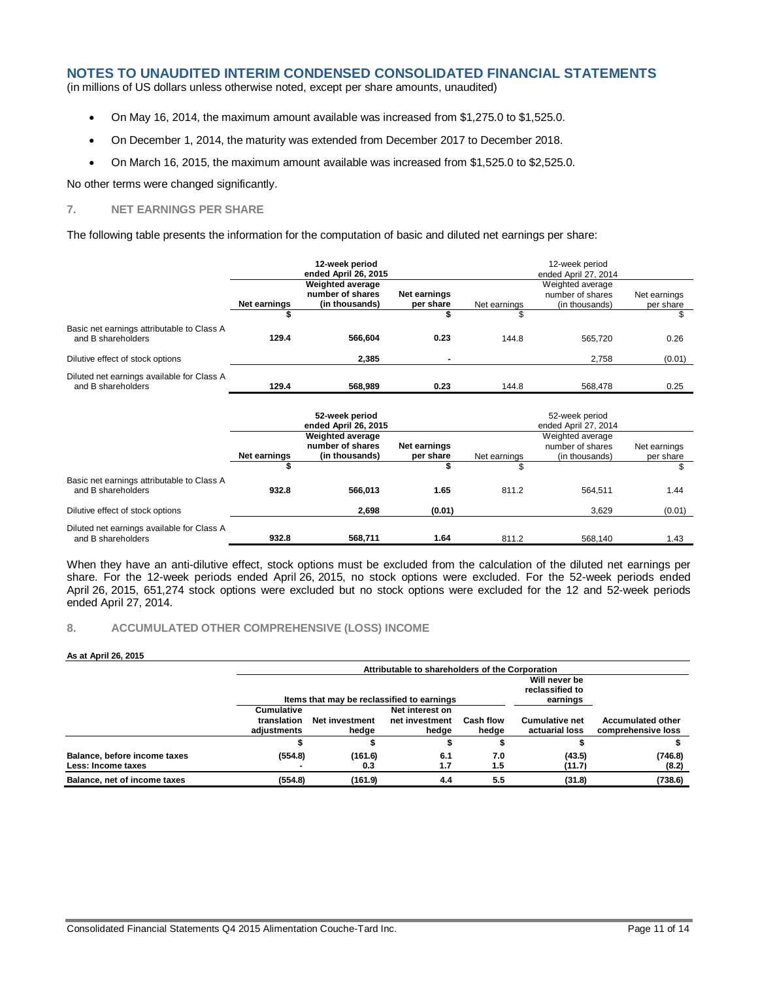(in millions of US dollars unless otherwise noted, except per share amounts, unaudited)

- On May 16, 2014, the maximum amount available was increased from \$1,275.0 to \$1,525.0.
- On December 1, 2014, the maturity was extended from December 2017 to December 2018.
- On March 16, 2015, the maximum amount available was increased from \$1,525.0 to \$2,525.0.

No other terms were changed significantly.

# **7. NET EARNINGS PER SHARE**

The following table presents the information for the computation of basic and diluted net earnings per share:

|                                                                  | 12-week period<br>ended April 26, 2015 |                                                        | 12-week period<br>ended April 27, 2014 |              |                                                        |                           |
|------------------------------------------------------------------|----------------------------------------|--------------------------------------------------------|----------------------------------------|--------------|--------------------------------------------------------|---------------------------|
|                                                                  | Net earnings                           | Weighted average<br>number of shares<br>(in thousands) | <b>Net earnings</b><br>per share       | Net earnings | Weighted average<br>number of shares<br>(in thousands) | Net earnings<br>per share |
|                                                                  |                                        |                                                        |                                        | \$           |                                                        | \$                        |
| Basic net earnings attributable to Class A<br>and B shareholders | 129.4                                  | 566.604                                                | 0.23                                   | 144.8        | 565.720                                                | 0.26                      |
| Dilutive effect of stock options                                 |                                        | 2.385                                                  |                                        |              | 2.758                                                  | (0.01)                    |
| Diluted net earnings available for Class A<br>and B shareholders | 129.4                                  | 568.989                                                | 0.23                                   | 144.8        | 568,478                                                | 0.25                      |

|                                                                  | 52-week period<br>ended April 26, 2015                                                              |         |        | 52-week period<br>ended April 27, 2014                                                              |         |        |  |
|------------------------------------------------------------------|-----------------------------------------------------------------------------------------------------|---------|--------|-----------------------------------------------------------------------------------------------------|---------|--------|--|
|                                                                  | Weighted average<br>number of shares<br>Net earnings<br>Net earnings<br>(in thousands)<br>per share |         |        | Weighted average<br>number of shares<br>Net earnings<br>Net earnings<br>(in thousands)<br>per share |         |        |  |
|                                                                  |                                                                                                     |         |        |                                                                                                     |         |        |  |
| Basic net earnings attributable to Class A<br>and B shareholders | 932.8                                                                                               | 566.013 | 1.65   | 811.2                                                                                               | 564.511 | 1.44   |  |
| Dilutive effect of stock options                                 |                                                                                                     | 2.698   | (0.01) |                                                                                                     | 3.629   | (0.01) |  |
| Diluted net earnings available for Class A<br>and B shareholders | 932.8                                                                                               | 568.711 | 1.64   | 811.2                                                                                               | 568.140 | 1.43   |  |

When they have an anti-dilutive effect, stock options must be excluded from the calculation of the diluted net earnings per share. For the 12-week periods ended April 26, 2015, no stock options were excluded. For the 52-week periods ended April 26, 2015, 651,274 stock options were excluded but no stock options were excluded for the 12 and 52-week periods ended April 27, 2014.

#### **8. ACCUMULATED OTHER COMPREHENSIVE (LOSS) INCOME**

#### **As at April 26, 2015**

|                                                    | Attributable to shareholders of the Corporation |                                            |                                              |                           |                                         |                                                |  |
|----------------------------------------------------|-------------------------------------------------|--------------------------------------------|----------------------------------------------|---------------------------|-----------------------------------------|------------------------------------------------|--|
|                                                    |                                                 | Items that may be reclassified to earnings | Will never be<br>reclassified to<br>earnings |                           |                                         |                                                |  |
|                                                    | <b>Cumulative</b><br>translation<br>adjustments | Net investment<br>hedge                    | Net interest on<br>net investment<br>hedge   | <b>Cash flow</b><br>hedge | <b>Cumulative net</b><br>actuarial loss | <b>Accumulated other</b><br>comprehensive loss |  |
|                                                    |                                                 |                                            |                                              |                           |                                         |                                                |  |
| Balance, before income taxes<br>Less: Income taxes | (554.8)                                         | (161.6)<br>0.3                             | 6.1<br>1.7                                   | 7.0<br>1.5                | (43.5)<br>(11.7)                        | (746.8)<br>(8.2)                               |  |
| Balance, net of income taxes                       | (554.8)                                         | (161.9)                                    | 4.4                                          | 5.5                       | (31.8)                                  | (738.6)                                        |  |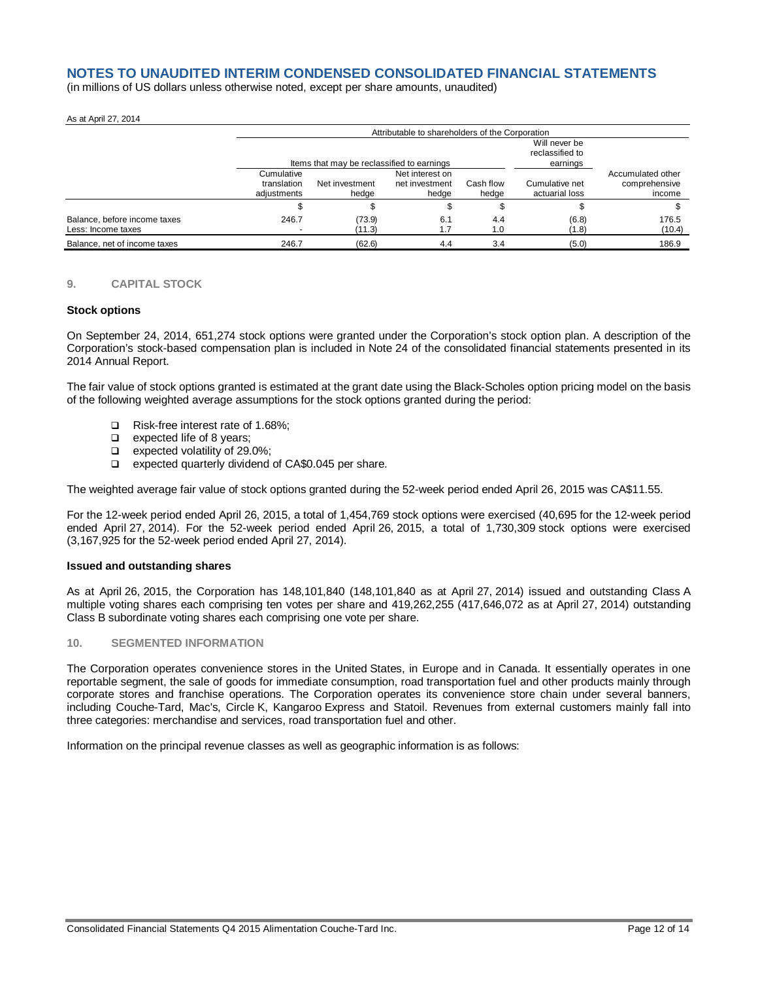(in millions of US dollars unless otherwise noted, except per share amounts, unaudited)

#### As at April 27, 2014

|                                                    |                                          | Attributable to shareholders of the Corporation |                                              |                    |                                  |                                              |  |  |
|----------------------------------------------------|------------------------------------------|-------------------------------------------------|----------------------------------------------|--------------------|----------------------------------|----------------------------------------------|--|--|
|                                                    |                                          | Items that may be reclassified to earnings      | Will never be<br>reclassified to<br>earnings |                    |                                  |                                              |  |  |
|                                                    | Cumulative<br>translation<br>adiustments | Net investment<br>hedae                         | Net interest on<br>net investment<br>hedge   | Cash flow<br>hedge | Cumulative net<br>actuarial loss | Accumulated other<br>comprehensive<br>income |  |  |
|                                                    |                                          |                                                 |                                              |                    |                                  |                                              |  |  |
| Balance, before income taxes<br>Less: Income taxes | 246.7                                    | (73.9)<br>(11.3)                                | 6.1                                          | 4.4<br>1.0         | (6.8)<br>(1.8)                   | 176.5<br>(10.4)                              |  |  |
| Balance, net of income taxes                       | 246.7                                    | (62.6)                                          | 4.4                                          | 3.4                | (5.0)                            | 186.9                                        |  |  |

#### **9. CAPITAL STOCK**

#### **Stock options**

On September 24, 2014, 651,274 stock options were granted under the Corporation's stock option plan. A description of the Corporation's stock-based compensation plan is included in Note 24 of the consolidated financial statements presented in its 2014 Annual Report.

The fair value of stock options granted is estimated at the grant date using the Black-Scholes option pricing model on the basis of the following weighted average assumptions for the stock options granted during the period:

- □ Risk-free interest rate of 1.68%:
- **Expected life of 8 years:**
- $\Box$  expected volatility of 29.0%;<br> $\Box$  expected quarterly dividend
- expected quarterly dividend of CA\$0.045 per share.

The weighted average fair value of stock options granted during the 52-week period ended April 26, 2015 was CA\$11.55.

For the 12-week period ended April 26, 2015, a total of 1,454,769 stock options were exercised (40,695 for the 12-week period ended April 27, 2014). For the 52-week period ended April 26, 2015, a total of 1,730,309 stock options were exercised (3,167,925 for the 52-week period ended April 27, 2014).

#### **Issued and outstanding shares**

As at April 26, 2015, the Corporation has 148,101,840 (148,101,840 as at April 27, 2014) issued and outstanding Class A multiple voting shares each comprising ten votes per share and 419,262,255 (417,646,072 as at April 27, 2014) outstanding Class B subordinate voting shares each comprising one vote per share.

#### **10. SEGMENTED INFORMATION**

The Corporation operates convenience stores in the United States, in Europe and in Canada. It essentially operates in one reportable segment, the sale of goods for immediate consumption, road transportation fuel and other products mainly through corporate stores and franchise operations. The Corporation operates its convenience store chain under several banners, including Couche-Tard, Mac's, Circle K, Kangaroo Express and Statoil. Revenues from external customers mainly fall into three categories: merchandise and services, road transportation fuel and other.

Information on the principal revenue classes as well as geographic information is as follows: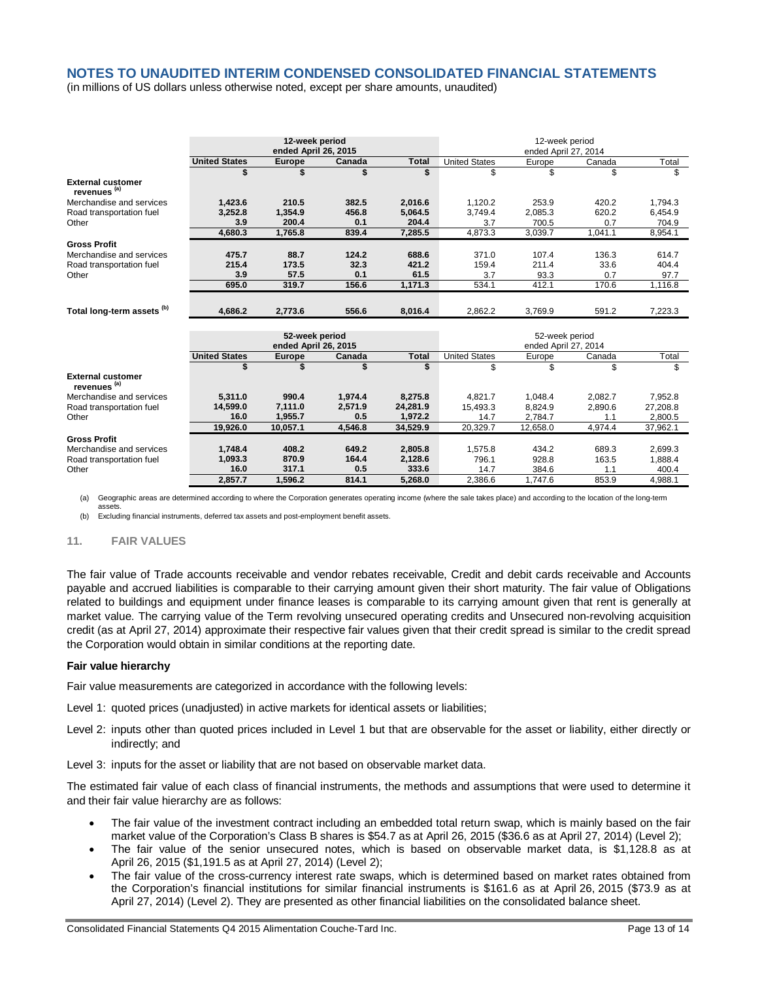(in millions of US dollars unless otherwise noted, except per share amounts, unaudited)

|                                                     | 12-week period<br>ended April 26, 2015 |                                        |         | 12-week period<br>ended April 27, 2014 |                                        |          |         |          |
|-----------------------------------------------------|----------------------------------------|----------------------------------------|---------|----------------------------------------|----------------------------------------|----------|---------|----------|
|                                                     |                                        |                                        |         |                                        |                                        |          |         |          |
|                                                     | <b>United States</b>                   | <b>Europe</b>                          | Canada  | <b>Total</b>                           | <b>United States</b>                   | Europe   | Canada  | Total    |
|                                                     |                                        |                                        |         | \$                                     | \$                                     | \$       | \$      | \$       |
| <b>External customer</b><br>revenues <sup>(a)</sup> |                                        |                                        |         |                                        |                                        |          |         |          |
| Merchandise and services                            | 1,423.6                                | 210.5                                  | 382.5   | 2,016.6                                | 1,120.2                                | 253.9    | 420.2   | 1,794.3  |
| Road transportation fuel                            | 3,252.8                                | 1,354.9                                | 456.8   | 5,064.5                                | 3,749.4                                | 2,085.3  | 620.2   | 6,454.9  |
| Other                                               | 3.9                                    | 200.4                                  | 0.1     | 204.4                                  | 3.7                                    | 700.5    | 0.7     | 704.9    |
|                                                     | 4,680.3                                | 1,765.8                                | 839.4   | 7,285.5                                | 4,873.3                                | 3,039.7  | 1,041.1 | 8,954.1  |
| <b>Gross Profit</b>                                 |                                        |                                        |         |                                        |                                        |          |         |          |
| Merchandise and services                            | 475.7                                  | 88.7                                   | 124.2   | 688.6                                  | 371.0                                  | 107.4    | 136.3   | 614.7    |
| Road transportation fuel                            | 215.4                                  | 173.5                                  | 32.3    | 421.2                                  | 159.4                                  | 211.4    | 33.6    | 404.4    |
| Other                                               | 3.9                                    | 57.5                                   | 0.1     | 61.5                                   | 3.7                                    | 93.3     | 0.7     | 97.7     |
|                                                     | 695.0                                  | 319.7                                  | 156.6   | 1,171.3                                | 534.1                                  | 412.1    | 170.6   | 1,116.8  |
|                                                     |                                        |                                        |         |                                        |                                        |          |         |          |
| Total long-term assets (b)                          | 4.686.2                                | 2,773.6                                | 556.6   | 8,016.4                                | 2,862.2                                | 3,769.9  | 591.2   | 7,223.3  |
|                                                     |                                        |                                        |         |                                        |                                        |          |         |          |
|                                                     |                                        | 52-week period<br>ended April 26, 2015 |         |                                        | 52-week period<br>ended April 27, 2014 |          |         |          |
|                                                     | <b>United States</b>                   | <b>Europe</b>                          | Canada  | <b>Total</b>                           | <b>United States</b>                   | Europe   | Canada  | Total    |
|                                                     | \$                                     |                                        |         | \$                                     | \$                                     | \$       | \$      | \$       |
| <b>External customer</b><br>revenues <sup>(a)</sup> |                                        |                                        |         |                                        |                                        |          |         |          |
| Merchandise and services                            | 5,311.0                                | 990.4                                  | 1,974.4 | 8,275.8                                | 4.821.7                                | 1,048.4  | 2,082.7 | 7,952.8  |
| Road transportation fuel                            | 14,599.0                               | 7.111.0                                | 2.571.9 | 24,281.9                               | 15.493.3                               | 8.824.9  | 2,890.6 | 27,208.8 |
| Other                                               | 16.0                                   | 1,955.7                                | 0.5     | 1,972.2                                | 14.7                                   | 2,784.7  | 1.1     | 2,800.5  |
|                                                     | 19.926.0                               | 10,057.1                               | 4,546.8 | 34,529.9                               | 20,329.7                               | 12,658.0 | 4,974.4 | 37,962.1 |
| <b>Gross Profit</b>                                 |                                        |                                        |         |                                        |                                        |          |         |          |
| Merchandise and services                            | 1,748.4                                | 408.2                                  | 649.2   | 2,805.8                                | 1,575.8                                | 434.2    | 689.3   | 2,699.3  |
| Road transportation fuel                            | 1,093.3                                | 870.9                                  | 164.4   | 2,128.6                                | 796.1                                  | 928.8    | 163.5   | 1,888.4  |
| Other                                               | 16.0                                   | 317.1                                  | 0.5     | 333.6                                  | 14.7                                   | 384.6    | 1.1     | 400.4    |
|                                                     | 2,857.7                                | 1,596.2                                | 814.1   | 5,268.0                                | 2.386.6                                | 1,747.6  | 853.9   | 4,988.1  |
|                                                     |                                        |                                        |         |                                        |                                        |          |         |          |

(a) Geographic areas are determined according to where the Corporation generates operating income (where the sale takes place) and according to the location of the long-term

assets. (b) Excluding financial instruments, deferred tax assets and post-employment benefit assets.

#### **11. FAIR VALUES**

The fair value of Trade accounts receivable and vendor rebates receivable, Credit and debit cards receivable and Accounts payable and accrued liabilities is comparable to their carrying amount given their short maturity. The fair value of Obligations related to buildings and equipment under finance leases is comparable to its carrying amount given that rent is generally at market value. The carrying value of the Term revolving unsecured operating credits and Unsecured non-revolving acquisition credit (as at April 27, 2014) approximate their respective fair values given that their credit spread is similar to the credit spread the Corporation would obtain in similar conditions at the reporting date.

#### **Fair value hierarchy**

Fair value measurements are categorized in accordance with the following levels:

- Level 1: quoted prices (unadjusted) in active markets for identical assets or liabilities;
- Level 2: inputs other than quoted prices included in Level 1 but that are observable for the asset or liability, either directly or indirectly; and

Level 3: inputs for the asset or liability that are not based on observable market data.

The estimated fair value of each class of financial instruments, the methods and assumptions that were used to determine it and their fair value hierarchy are as follows:

- The fair value of the investment contract including an embedded total return swap, which is mainly based on the fair market value of the Corporation's Class B shares is \$54.7 as at April 26, 2015 (\$36.6 as at April 27, 2014) (Level 2);
- The fair value of the senior unsecured notes, which is based on observable market data, is \$1,128.8 as at April 26, 2015 (\$1,191.5 as at April 27, 2014) (Level 2);
- The fair value of the cross-currency interest rate swaps, which is determined based on market rates obtained from the Corporation's financial institutions for similar financial instruments is \$161.6 as at April 26, 2015 (\$73.9 as at April 27, 2014) (Level 2). They are presented as other financial liabilities on the consolidated balance sheet.